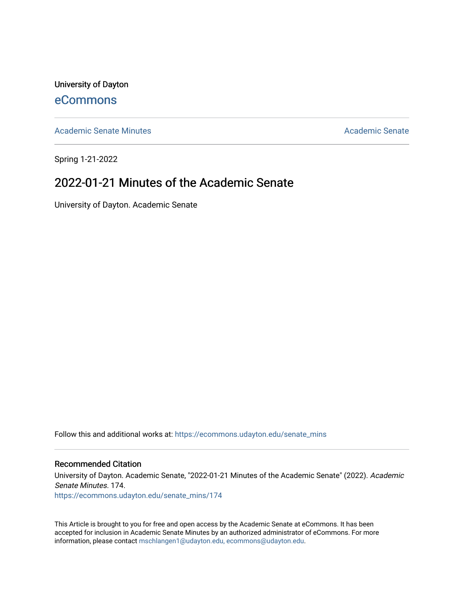University of Dayton [eCommons](https://ecommons.udayton.edu/)

[Academic Senate Minutes](https://ecommons.udayton.edu/senate_mins) [Academic Senate](https://ecommons.udayton.edu/academic_senate) Academic Senate

Spring 1-21-2022

# 2022-01-21 Minutes of the Academic Senate

University of Dayton. Academic Senate

Follow this and additional works at: [https://ecommons.udayton.edu/senate\\_mins](https://ecommons.udayton.edu/senate_mins?utm_source=ecommons.udayton.edu%2Fsenate_mins%2F174&utm_medium=PDF&utm_campaign=PDFCoverPages)

# Recommended Citation

University of Dayton. Academic Senate, "2022-01-21 Minutes of the Academic Senate" (2022). Academic Senate Minutes. 174. [https://ecommons.udayton.edu/senate\\_mins/174](https://ecommons.udayton.edu/senate_mins/174?utm_source=ecommons.udayton.edu%2Fsenate_mins%2F174&utm_medium=PDF&utm_campaign=PDFCoverPages)

This Article is brought to you for free and open access by the Academic Senate at eCommons. It has been accepted for inclusion in Academic Senate Minutes by an authorized administrator of eCommons. For more information, please contact [mschlangen1@udayton.edu, ecommons@udayton.edu](mailto:mschlangen1@udayton.edu,%20ecommons@udayton.edu).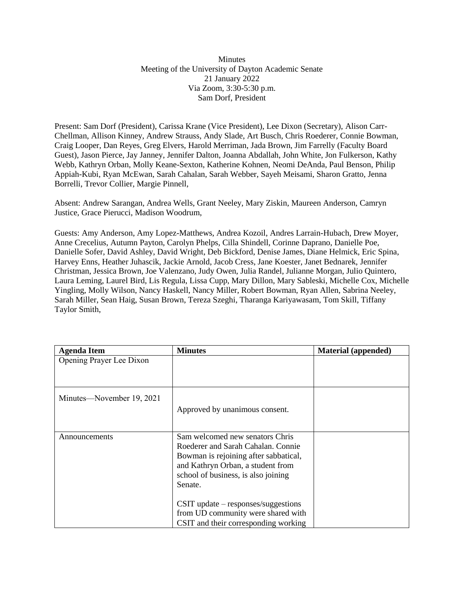Minutes Meeting of the University of Dayton Academic Senate 21 January 2022 Via Zoom, 3:30-5:30 p.m. Sam Dorf, President

Present: Sam Dorf (President), Carissa Krane (Vice President), Lee Dixon (Secretary), Alison Carr-Chellman, Allison Kinney, Andrew Strauss, Andy Slade, Art Busch, Chris Roederer, Connie Bowman, Craig Looper, Dan Reyes, Greg Elvers, Harold Merriman, Jada Brown, Jim Farrelly (Faculty Board Guest), Jason Pierce, Jay Janney, Jennifer Dalton, Joanna Abdallah, John White, Jon Fulkerson, Kathy Webb, Kathryn Orban, Molly Keane-Sexton, Katherine Kohnen, Neomi DeAnda, Paul Benson, Philip Appiah-Kubi, Ryan McEwan, Sarah Cahalan, Sarah Webber, Sayeh Meisami, Sharon Gratto, Jenna Borrelli, Trevor Collier, Margie Pinnell,

Absent: Andrew Sarangan, Andrea Wells, Grant Neeley, Mary Ziskin, Maureen Anderson, Camryn Justice, Grace Pierucci, Madison Woodrum,

Guests: Amy Anderson, Amy Lopez-Matthews, Andrea Kozoil, Andres Larrain-Hubach, Drew Moyer, Anne Crecelius, Autumn Payton, Carolyn Phelps, Cilla Shindell, Corinne Daprano, Danielle Poe, Danielle Sofer, David Ashley, David Wright, Deb Bickford, Denise James, Diane Helmick, Eric Spina, Harvey Enns, Heather Juhascik, Jackie Arnold, Jacob Cress, Jane Koester, Janet Bednarek, Jennifer Christman, Jessica Brown, Joe Valenzano, Judy Owen, Julia Randel, Julianne Morgan, Julio Quintero, Laura Leming, Laurel Bird, Lis Regula, Lissa Cupp, Mary Dillon, Mary Sableski, Michelle Cox, Michelle Yingling, Molly Wilson, Nancy Haskell, Nancy Miller, Robert Bowman, Ryan Allen, Sabrina Neeley, Sarah Miller, Sean Haig, Susan Brown, Tereza Szeghi, Tharanga Kariyawasam, Tom Skill, Tiffany Taylor Smith,

| <b>Agenda Item</b>        | <b>Minutes</b>                                                                                                                                                                                        | <b>Material</b> (appended) |
|---------------------------|-------------------------------------------------------------------------------------------------------------------------------------------------------------------------------------------------------|----------------------------|
| Opening Prayer Lee Dixon  |                                                                                                                                                                                                       |                            |
|                           |                                                                                                                                                                                                       |                            |
| Minutes—November 19, 2021 | Approved by unanimous consent.                                                                                                                                                                        |                            |
| Announcements             | Sam welcomed new senators Chris<br>Roederer and Sarah Cahalan. Connie<br>Bowman is rejoining after sabbatical,<br>and Kathryn Orban, a student from<br>school of business, is also joining<br>Senate. |                            |
|                           | $CSIT$ update – responses/suggestions<br>from UD community were shared with<br>CSIT and their corresponding working                                                                                   |                            |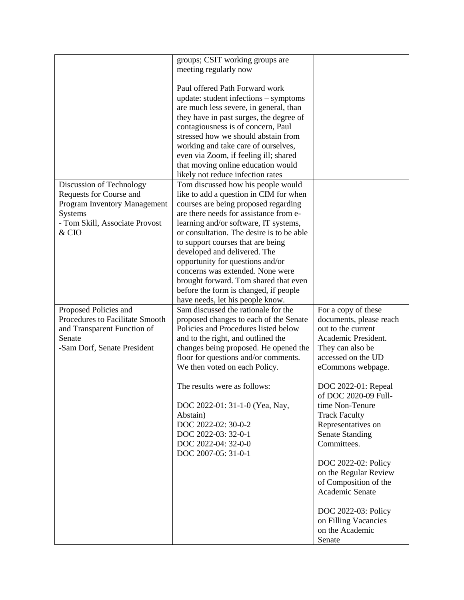|                                 | groups; CSIT working groups are                                                |                         |
|---------------------------------|--------------------------------------------------------------------------------|-------------------------|
|                                 | meeting regularly now                                                          |                         |
|                                 |                                                                                |                         |
|                                 | Paul offered Path Forward work                                                 |                         |
|                                 | update: student infections - symptoms                                          |                         |
|                                 | are much less severe, in general, than                                         |                         |
|                                 |                                                                                |                         |
|                                 | they have in past surges, the degree of                                        |                         |
|                                 | contagiousness is of concern, Paul                                             |                         |
|                                 | stressed how we should abstain from                                            |                         |
|                                 | working and take care of ourselves,                                            |                         |
|                                 | even via Zoom, if feeling ill; shared                                          |                         |
|                                 | that moving online education would                                             |                         |
|                                 | likely not reduce infection rates                                              |                         |
| Discussion of Technology        | Tom discussed how his people would                                             |                         |
| Requests for Course and         | like to add a question in CIM for when                                         |                         |
| Program Inventory Management    | courses are being proposed regarding                                           |                         |
| Systems                         | are there needs for assistance from e-                                         |                         |
| - Tom Skill, Associate Provost  | learning and/or software, IT systems,                                          |                         |
| & CIO                           | or consultation. The desire is to be able                                      |                         |
|                                 | to support courses that are being                                              |                         |
|                                 | developed and delivered. The                                                   |                         |
|                                 | opportunity for questions and/or                                               |                         |
|                                 | concerns was extended. None were                                               |                         |
|                                 | brought forward. Tom shared that even                                          |                         |
|                                 | before the form is changed, if people                                          |                         |
|                                 | have needs, let his people know.                                               |                         |
| Proposed Policies and           | Sam discussed the rationale for the                                            | For a copy of these     |
| Procedures to Facilitate Smooth |                                                                                | documents, please reach |
|                                 | proposed changes to each of the Senate<br>Policies and Procedures listed below | out to the current      |
| and Transparent Function of     |                                                                                |                         |
| Senate                          | and to the right, and outlined the                                             | Academic President.     |
| -Sam Dorf, Senate President     | changes being proposed. He opened the                                          | They can also be        |
|                                 | floor for questions and/or comments.                                           | accessed on the UD      |
|                                 | We then voted on each Policy.                                                  | eCommons webpage.       |
|                                 |                                                                                |                         |
|                                 | The results were as follows:                                                   | DOC 2022-01: Repeal     |
|                                 |                                                                                | of DOC 2020-09 Full-    |
|                                 | DOC 2022-01: 31-1-0 (Yea, Nay,                                                 | time Non-Tenure         |
|                                 | Abstain)                                                                       | <b>Track Faculty</b>    |
|                                 | DOC 2022-02: 30-0-2                                                            | Representatives on      |
|                                 | DOC 2022-03: 32-0-1                                                            | <b>Senate Standing</b>  |
|                                 | DOC 2022-04: 32-0-0                                                            | Committees.             |
|                                 | DOC 2007-05: 31-0-1                                                            |                         |
|                                 |                                                                                | DOC 2022-02: Policy     |
|                                 |                                                                                | on the Regular Review   |
|                                 |                                                                                | of Composition of the   |
|                                 |                                                                                | Academic Senate         |
|                                 |                                                                                |                         |
|                                 |                                                                                | DOC 2022-03: Policy     |
|                                 |                                                                                | on Filling Vacancies    |
|                                 |                                                                                | on the Academic         |
|                                 |                                                                                | Senate                  |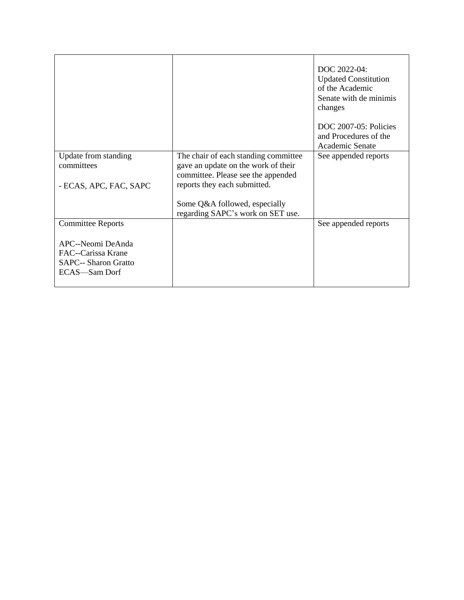|                                                                                         |                                                                                                                                                   | DOC 2022-04:<br><b>Updated Constitution</b><br>of the Academic<br>Senate with de minimis<br>changes |
|-----------------------------------------------------------------------------------------|---------------------------------------------------------------------------------------------------------------------------------------------------|-----------------------------------------------------------------------------------------------------|
|                                                                                         |                                                                                                                                                   | DOC 2007-05: Policies<br>and Procedures of the<br>Academic Senate                                   |
| Update from standing<br>committees<br>- ECAS, APC, FAC, SAPC                            | The chair of each standing committee<br>gave an update on the work of their<br>committee. Please see the appended<br>reports they each submitted. | See appended reports                                                                                |
|                                                                                         | Some Q&A followed, especially<br>regarding SAPC's work on SET use.                                                                                |                                                                                                     |
| <b>Committee Reports</b>                                                                |                                                                                                                                                   | See appended reports                                                                                |
| APC--Neomi DeAnda<br>FAC--Carissa Krane<br><b>SAPC-- Sharon Gratto</b><br>ECAS-Sam Dorf |                                                                                                                                                   |                                                                                                     |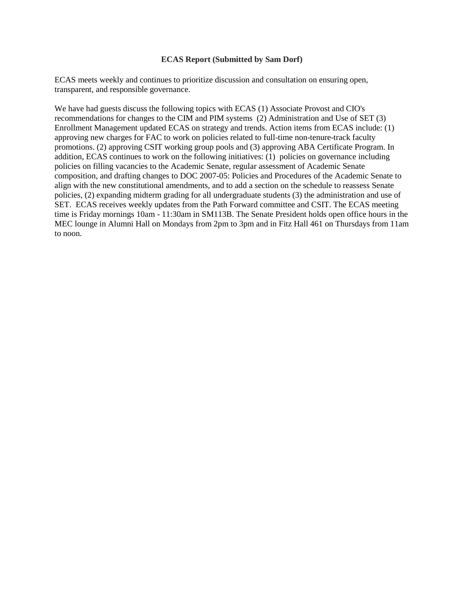## **ECAS Report (Submitted by Sam Dorf)**

ECAS meets weekly and continues to prioritize discussion and consultation on ensuring open, transparent, and responsible governance.

We have had guests discuss the following topics with ECAS (1) Associate Provost and CIO's recommendations for changes to the CIM and PIM systems (2) Administration and Use of SET (3) Enrollment Management updated ECAS on strategy and trends. Action items from ECAS include: (1) approving new charges for FAC to work on policies related to full-time non-tenure-track faculty promotions. (2) approving CSIT working group pools and (3) approving ABA Certificate Program. In addition, ECAS continues to work on the following initiatives: (1) policies on governance including policies on filling vacancies to the Academic Senate, regular assessment of Academic Senate composition, and drafting changes to DOC 2007-05: Policies and Procedures of the Academic Senate to align with the new constitutional amendments, and to add a section on the schedule to reassess Senate policies, (2) expanding midterm grading for all undergraduate students (3) the administration and use of SET. ECAS receives weekly updates from the Path Forward committee and CSIT. The ECAS meeting time is Friday mornings 10am - 11:30am in SM113B. The Senate President holds open office hours in the MEC lounge in Alumni Hall on Mondays from 2pm to 3pm and in Fitz Hall 461 on Thursdays from 11am to noon.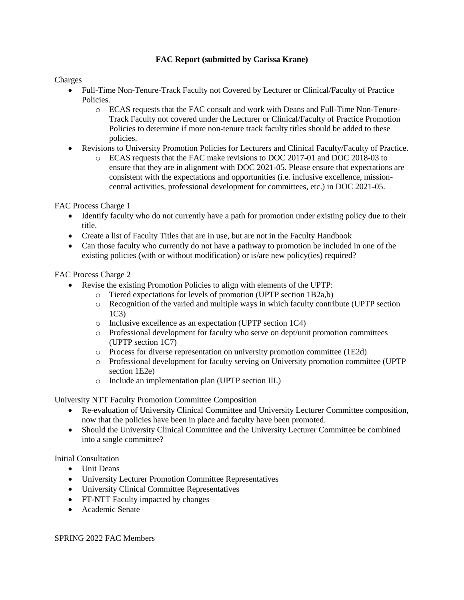# **FAC Report (submitted by Carissa Krane)**

Charges

- Full-Time Non-Tenure-Track Faculty not Covered by Lecturer or Clinical/Faculty of Practice Policies.
	- o ECAS requests that the FAC consult and work with Deans and Full-Time Non-Tenure-Track Faculty not covered under the Lecturer or Clinical/Faculty of Practice Promotion Policies to determine if more non-tenure track faculty titles should be added to these policies.
- Revisions to University Promotion Policies for Lecturers and Clinical Faculty/Faculty of Practice.
	- o ECAS requests that the FAC make revisions to DOC 2017-01 and DOC 2018-03 to ensure that they are in alignment with DOC 2021-05. Please ensure that expectations are consistent with the expectations and opportunities (i.e. inclusive excellence, missioncentral activities, professional development for committees, etc.) in DOC 2021-05.

FAC Process Charge 1

- Identify faculty who do not currently have a path for promotion under existing policy due to their title.
- Create a list of Faculty Titles that are in use, but are not in the Faculty Handbook
- Can those faculty who currently do not have a pathway to promotion be included in one of the existing policies (with or without modification) or is/are new policy(ies) required?

FAC Process Charge 2

- Revise the existing Promotion Policies to align with elements of the UPTP:
	- o Tiered expectations for levels of promotion (UPTP section 1B2a,b)
		- o Recognition of the varied and multiple ways in which faculty contribute (UPTP section 1C3)
		- o Inclusive excellence as an expectation (UPTP section 1C4)
		- o Professional development for faculty who serve on dept/unit promotion committees (UPTP section 1C7)
		- o Process for diverse representation on university promotion committee (1E2d)
		- o Professional development for faculty serving on University promotion committee (UPTP section 1E2e)
		- o Include an implementation plan (UPTP section III.)

University NTT Faculty Promotion Committee Composition

- Re-evaluation of University Clinical Committee and University Lecturer Committee composition, now that the policies have been in place and faculty have been promoted.
- Should the University Clinical Committee and the University Lecturer Committee be combined into a single committee?

Initial Consultation

- Unit Deans
- University Lecturer Promotion Committee Representatives
- University Clinical Committee Representatives
- FT-NTT Faculty impacted by changes
- Academic Senate

SPRING 2022 FAC Members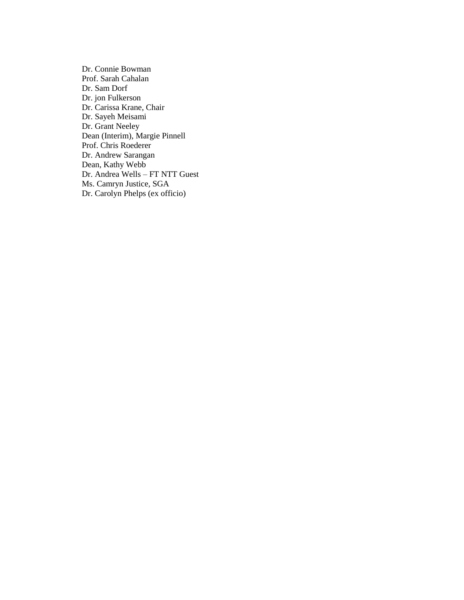Dr. Connie Bowman Prof. Sarah Cahalan Dr. Sam Dorf Dr. jon Fulkerson Dr. Carissa Krane, Chair Dr. Sayeh Meisami Dr. Grant Neeley Dean (Interim), Margie Pinnell Prof. Chris Roederer Dr. Andrew Sarangan Dean, Kathy Webb Dr. Andrea Wells – FT NTT Guest Ms. Camryn Justice, SGA Dr. Carolyn Phelps (ex officio)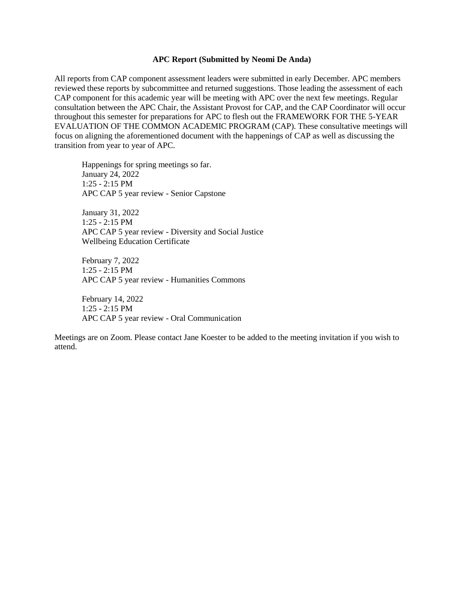#### **APC Report (Submitted by Neomi De Anda)**

All reports from CAP component assessment leaders were submitted in early December. APC members reviewed these reports by subcommittee and returned suggestions. Those leading the assessment of each CAP component for this academic year will be meeting with APC over the next few meetings. Regular consultation between the APC Chair, the Assistant Provost for CAP, and the CAP Coordinator will occur throughout this semester for preparations for APC to flesh out the FRAMEWORK FOR THE 5-YEAR EVALUATION OF THE COMMON ACADEMIC PROGRAM (CAP). These consultative meetings will focus on aligning the aforementioned document with the happenings of CAP as well as discussing the transition from year to year of APC.

Happenings for spring meetings so far. January 24, 2022 1:25 - 2:15 PM APC CAP 5 year review - Senior Capstone

January 31, 2022 1:25 - 2:15 PM APC CAP 5 year review - Diversity and Social Justice Wellbeing Education Certificate

February 7, 2022 1:25 - 2:15 PM APC CAP 5 year review - Humanities Commons

February 14, 2022 1:25 - 2:15 PM APC CAP 5 year review - Oral Communication

Meetings are on Zoom. Please contact Jane Koester to be added to the meeting invitation if you wish to attend.